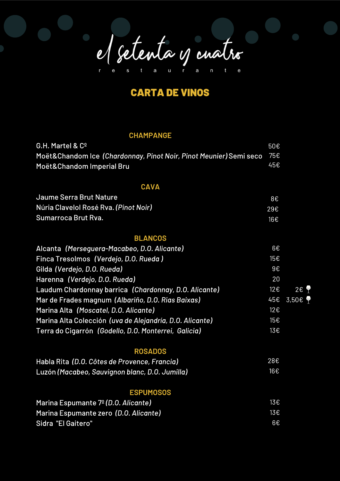el setenta y cuatro

## **CARTA DE VINOS**

## **CHAMPANGE**

| G.H. Martel & Cº                                                   | 50€ |              |
|--------------------------------------------------------------------|-----|--------------|
| Moët&Chandom Ice (Chardonnay, Pinot Noir, Pinot Meunier) Semi seco | 75€ |              |
| Moët&Chandom Imperial Bru                                          | 45€ |              |
|                                                                    |     |              |
| <b>CAVA</b>                                                        |     |              |
| Jaume Serra Brut Nature                                            | 8€  |              |
| Núria Clavelol Rosé Rva. (Pinot Noir)                              | 29€ |              |
| Sumarroca Brut Rva.                                                | 16€ |              |
|                                                                    |     |              |
| <b>BLANCOS</b>                                                     |     |              |
| Alcanta (Merseguera-Macabeo, D.O. Alicante)                        | 6€  |              |
| Finca Tresolmos (Verdejo, D.O. Rueda)                              | 15€ |              |
| Gilda (Verdejo, D.O. Rueda)                                        | 9E  |              |
| Harenna (Verdejo, D.O. Rueda)                                      | 20  |              |
| Laudum Chardonnay barrica (Chardonnay, D.O. Alicante)              | 12€ | $2 \epsilon$ |
| Mar de Frades magnum (Albariño, D.O. Rias Baixas)                  | 45€ | 3,50€ 9      |
| Marina Alta (Moscatel, D.O. Alicante)                              | 12€ |              |
| Marina Alta Colección (uva de Alejandría, D.O. Alicante)           | 15€ |              |
| Terra do Cigarrón (Godello, D.O. Monterrei, Galicia)               | 13€ |              |
| <b>ROSADOS</b>                                                     |     |              |
| Habla Rita (D.O. Côtes de Provence, Francia)                       | 28€ |              |
| Luzón (Macabeo, Sauvignon blanc, D.O. Jumilla)                     | 16€ |              |
|                                                                    |     |              |
| <b>ESPUMOSOS</b>                                                   |     |              |
| Marina Espumante 7 <sup>o</sup> (D.O. Alicante)                    | 13€ |              |
| Marina Espumante zero (D.O. Alicante)                              | 13€ |              |
| Sidra "El Gaitero"                                                 | 6€  |              |